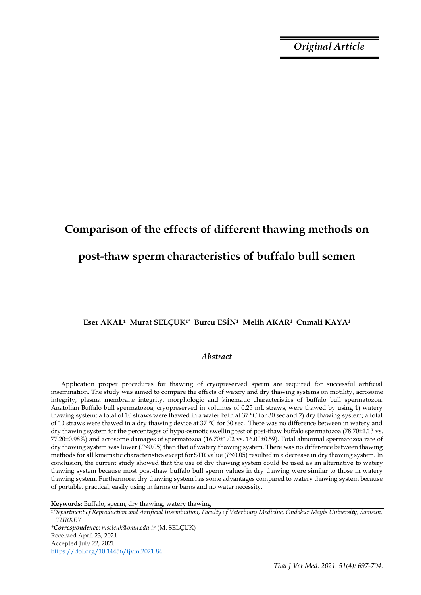*Original Article*

# **Comparison of the effects of different thawing methods on post-thaw sperm characteristics of buffalo bull semen**

## **Eser AKAL1 Murat SELÇUK1\* Burcu ESİN1 Melih AKAR1 Cumali KAYA<sup>1</sup>**

### *Abstract*

Application proper procedures for thawing of cryopreserved sperm are required for successful artificial insemination. The study was aimed to compare the effects of watery and dry thawing systems on motility, acrosome integrity, plasma membrane integrity, morphologic and kinematic characteristics of buffalo bull spermatozoa. Anatolian Buffalo bull spermatozoa, cryopreserved in volumes of 0.25 mL straws, were thawed by using 1) watery thawing system; a total of 10 straws were thawed in a water bath at 37 °C for 30 sec and 2) dry thawing system; a total of 10 straws were thawed in a dry thawing device at 37 °C for 30 sec. There was no difference between in watery and dry thawing system for the percentages of hypo-osmotic swelling test of post-thaw buffalo spermatozoa (78.70±1.13 vs. 77.20±0.98%) and acrosome damages of spermatozoa (16.70±1.02 vs. 16.00±0.59). Total abnormal spermatozoa rate of dry thawing system was lower (*P*<0.05) than that of watery thawing system. There was no difference between thawing methods for all kinematic characteristics except for STR value (*P*<0.05) resulted in a decrease in dry thawing system. In conclusion, the current study showed that the use of dry thawing system could be used as an alternative to watery thawing system because most post-thaw buffalo bull sperm values in dry thawing were similar to those in watery thawing system. Furthermore, dry thawing system has some advantages compared to watery thawing system because of portable, practical, easily using in farms or barns and no water necessity.

**Keywords:** Buffalo, sperm, dry thawing, watery thawing

*<sup>1</sup>Department of Reproduction and Artificial Insemination, Faculty of Veterinary Medicine, Ondokuz Mayis University, Samsun, TURKEY*

*\*Correspondence: mselcuk@omu.edu.tr* (M. SELÇUK) Received April 23, 2021 Accepted July 22, 2021 https://doi.org/10.14456/tjvm.2021.84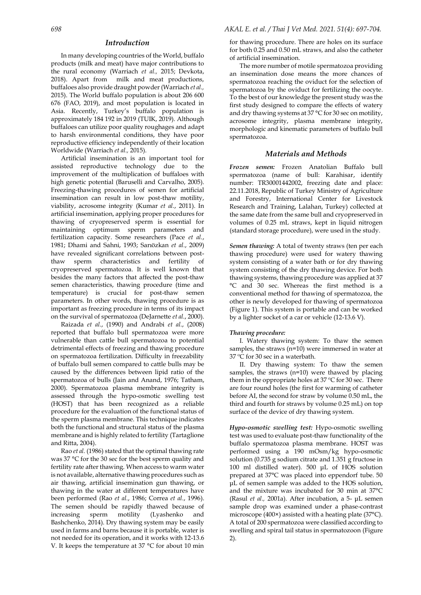#### *Introduction*

In many developing countries of the World, buffalo products (milk and meat) have major contributions to the rural economy (Warriach *et al.,* 2015; Devkota, 2018). Apart from milk and meat productions, buffaloes also provide draught powder (Warriach *et al.,* 2015). The World buffalo population is about 206 600 676 (FAO, 2019), and most population is located in Asia. Recently, Turkey's buffalo population is approximately 184 192 in 2019 (TUIK, 2019). Although buffaloes can utilize poor quality roughages and adapt to harsh environmental conditions, they have poor reproductive efficiency independently of their location Worldwide (Warriach *et al.,* 2015).

Artificial insemination is an important tool for assisted reproductive technology due to the improvement of the multiplication of buffaloes with high genetic potential (Baruselli and Carvalho, 2005). Freezing-thawing procedures of semen for artificial insemination can result in low post-thaw motility, viability, acrosome integrity (Kumar *et al.*, 2011). In artificial insemination, applying proper procedures for thawing of cryopreserved sperm is essential for maintaining optimum sperm parameters and fertilization capacity. Some researchers (Pace *et al.*, 1981; Dhami and Sahni, 1993; Sarıözkan *et al.*, 2009) have revealed significant correlations between postthaw sperm characteristics and fertility of cryopreserved spermatozoa. It is well known that besides the many factors that affected the post-thaw semen characteristics, thawing procedure (time and temperature) is crucial for post-thaw semen parameters. In other words, thawing procedure is as important as freezing procedure in terms of its impact on the survival of spermatozoa (DeJarnette *et al.*, 2000).

Raizada *et al.*, (1990) and Andrabi *et al.*, (2008) reported that buffalo bull spermatozoa were more vulnerable than cattle bull spermatozoa to potential detrimental effects of freezing and thawing procedure on spermatozoa fertilization. Difficulty in freezability of buffalo bull semen compared to cattle bulls may be caused by the differences between lipid ratio of the spermatozoa of bulls (Jain and Anand, 1976; Tatham, 2000). Spermatozoa plasma membrane integrity is assessed through the hypo-osmotic swelling test (HOST) that has been recognized as a reliable procedure for the evaluation of the functional status of the sperm plasma membrane. This technique indicates both the functional and structural status of the plasma membrane and is highly related to fertility (Tartaglione and Ritta, 2004).

Rao *et al.* (1986) stated that the optimal thawing rate was 37 °C for the 30 sec for the best sperm quality and fertility rate after thawing. When access to warm water is not available, alternative thawing procedures such as air thawing, artificial insemination gun thawing, or thawing in the water at different temperatures have been performed (Rao *et al.*, 1986; Correa *et al.*, 1996). The semen should be rapidly thawed because of increasing sperm motility (Lyashenko and Bashchenko, 2014). Dry thawing system may be easily used in farms and barns because it is portable, water is not needed for its operation, and it works with 12-13.6 V. It keeps the temperature at 37 °C for about 10 min

for thawing procedure. There are holes on its surface for both 0.25 and 0.50 mL straws, and also the catheter of artificial insemination.

The more number of motile spermatozoa providing an insemination dose means the more chances of spermatozoa reaching the oviduct for the selection of spermatozoa by the oviduct for fertilizing the oocyte. To the best of our knowledge the present study was the first study designed to compare the effects of watery and dry thawing systems at 37 °C for 30 sec on motility, acrosome integrity, plasma membrane integrity, morphologic and kinematic parameters of buffalo bull spermatozoa.

#### *Materials and Methods*

*Frozen semen:* Frozen Anatolian Buffalo bull spermatozoa (name of bull: Karahisar, identify number: TR30001442002, freezing date and place: 22.11.2018, Republic of Turkey Ministry of Agriculture and Forestry, International Center for Livestock Research and Training, Lalahan, Turkey) collected at the same date from the same bull and cryopreserved in volumes of 0.25 mL straws, kept in liquid nitrogen (standard storage procedure), were used in the study.

*Semen thawing:* A total of twenty straws (ten per each thawing procedure) were used for watery thawing system consisting of a water bath or for dry thawing system consisting of the dry thawing device. For both thawing systems, thawing procedure was applied at 37 °C and 30 sec. Whereas the first method is a conventional method for thawing of spermatozoa, the other is newly developed for thawing of spermatozoa (Figure 1). This system is portable and can be worked by a lighter socket of a car or vehicle (12-13.6 V).

#### *Thawing procedure:*

I. Watery thawing system: To thaw the semen samples, the straws (n=10) were immersed in water at 37 ºC for 30 sec in a waterbath.

II. Dry thawing system: To thaw the semen samples, the straws (n=10) were thawed by placing them in the oppropriate holes at  $37^{\circ}$ C for  $30^{\circ}$  sec. There are four round holes (the first for warming of catheter before AI, the second for straw by volume 0.50 mL, the third and fourth for straws by volume 0.25 mL) on top surface of the device of dry thawing system.

*Hypo-osmotic swelling test:* Hypo-osmotic swelling test was used to evaluate post-thaw functionality of the buffalo spermatozoa plasma membrane. HOST was performed using a 190 mOsm/kg hypo-osmotic solution (0.735 g sodium citrate and 1.351 g fructose in 100 ml distilled water). 500 μL of HOS solution prepared at 37°C was placed into eppendorf tube. 50 μL of semen sample was added to the HOS solution, and the mixture was incubated for 30 min at 37°C (Rasul *et al.,* 2001a). After incubation, a 5- μL semen sample drop was examined under a phase-contrast microscope (400×) assisted with a heating plate (37°C). A total of 200 spermatozoa were classified according to swelling and spiral tail status in spermatozoon (Figure 2).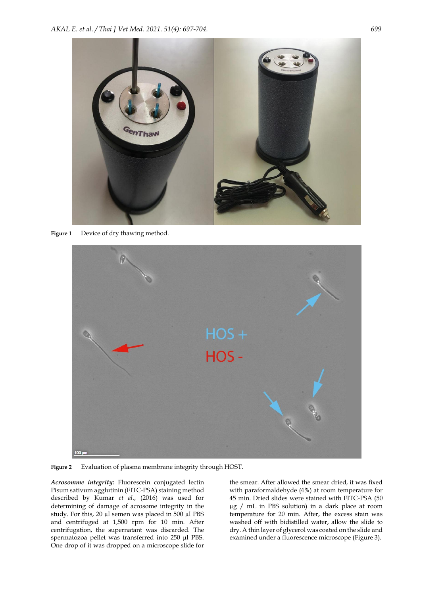

**Figure 1** Device of dry thawing method.



**Figure 2** Evaluation of plasma membrane integrity through HOST.

*Acrosomme integrity:* Fluorescein conjugated lectin Pisum sativum agglutinin (FITC-PSA) staining method described by Kumar *et al.*, (2016) was used for determining of damage of acrosome integrity in the study. For this, 20 µl semen was placed in 500 µl PBS and centrifuged at 1,500 rpm for 10 min. After centrifugation, the supernatant was discarded. The spermatozoa pellet was transferred into 250 µl PBS. One drop of it was dropped on a microscope slide for

the smear. After allowed the smear dried, it was fixed with paraformaldehyde (4%) at room temperature for 45 min. Dried slides were stained with FITC-PSA (50 µg / mL in PBS solution) in a dark place at room temperature for 20 min. After, the excess stain was washed off with bidistilled water, allow the slide to dry. A thin layer of glycerol was coated on the slide and examined under a fluorescence microscope (Figure 3).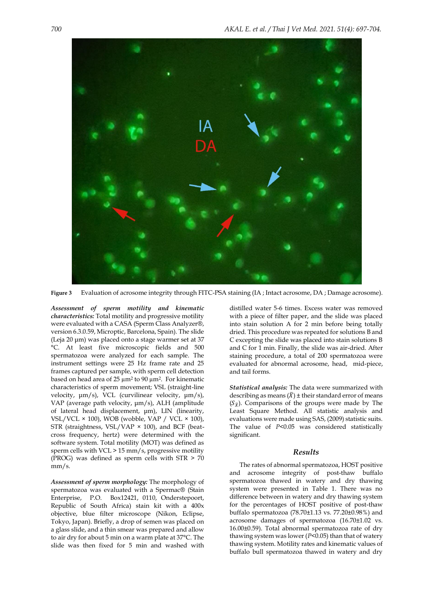

**Figure 3** Evaluation of acrosome integrity through FITC-PSA staining (IA ; Intact acrosome, DA ; Damage acrosome).

*Assessment of sperm motility and kinematic characteristics:* Total motility and progressive motility were evaluated with a CASA (Sperm Class Analyzer®, version 6.3.0.59, Microptic, Barcelona, Spain). The slide (Leja 20 μm) was placed onto a stage warmer set at 37 °C. At least five microscopic fields and 500 spermatozoa were analyzed for each sample. The instrument settings were 25 Hz frame rate and 25 frames captured per sample, with sperm cell detection based on head area of 25 µm<sup>2</sup> to 90 µm2. For kinematic characteristics of sperm movement; VSL (straight-line velocity, μm/s), VCL (curvilinear velocity, μm/s), VAP (average path velocity, μm/s), ALH (amplitude of lateral head displacement, μm), LIN (linearity, VSL/VCL  $\times$  100), WOB (wobble, VAP / VCL  $\times$  100), STR (straightness, VSL/VAP  $\times$  100), and BCF (beatcross frequency, hertz) were determined with the software system. Total motility (MOT) was defined as sperm cells with VCL > 15 mm/s, progressive motility (PROG) was defined as sperm cells with STR > 70 mm/s.

*Assessment of sperm morphology:* The morphology of spermatozoa was evaluated with a Spermac® (Stain Enterprise, P.O. Box12421, 0110, Onderstepoort, Republic of South Africa) stain kit with a 400x objective, blue filter microscope (Nikon, Eclipse, Tokyo, Japan). Briefly, a drop of semen was placed on a glass slide, and a thin smear was prepared and allow to air dry for about 5 min on a warm plate at 37°C. The slide was then fixed for 5 min and washed with

distilled water 5-6 times. Excess water was removed with a piece of filter paper, and the slide was placed into stain solution A for 2 min before being totally dried. This procedure was repeated for solutions B and C excepting the slide was placed into stain solutions B and C for 1 min. Finally, the slide was air-dried. After staining procedure, a total of 200 spermatozoa were evaluated for abnormal acrosome, head, mid-piece, and tail forms.

*Statistical analysis:* The data were summarized with describing as means  $(\overline{X}) \pm$  their standard error of means  $(S_{\overline{X}})$ . Comparisons of the groups were made by The Least Square Method. All statistic analysis and evaluations were made using SAS, (2009) statistic suits. The value of *P<0.05* was considered statistically significant.

### *Results*

The rates of abnormal spermatozoa, HOST positive and acrosome integrity of post-thaw buffalo spermatozoa thawed in watery and dry thawing system were presented in Table 1. There was no difference between in watery and dry thawing system for the percentages of HOST positive of post-thaw buffalo spermatozoa (78.70±1.13 vs. 77.20±0.98%) and acrosome damages of spermatozoa (16.70±1.02 vs. 16.00±0.59). Total abnormal spermatozoa rate of dry thawing system was lower (*P*<0.05) than that of watery thawing system. Motility rates and kinematic values of buffalo bull spermatozoa thawed in watery and dry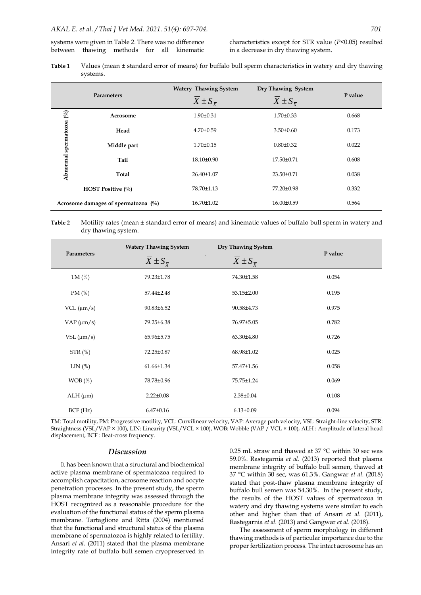#### *AKAL E. et al. / Thai J Vet Med. 2021. 51(4): 697-704. 701*

systems were given in Table 2. There was no difference between thawing methods for all kinematic characteristics except for STR value (*P*<0.05) resulted in a decrease in dry thawing system.

| Table 1 | Values (mean ± standard error of means) for buffalo bull sperm characteristics in watery and dry thawing |
|---------|----------------------------------------------------------------------------------------------------------|
|         | systems.                                                                                                 |

| <b>Parameters</b>                   |                          | <b>Watery Thawing System</b>        | Dry Thawing System                  |         |  |
|-------------------------------------|--------------------------|-------------------------------------|-------------------------------------|---------|--|
|                                     |                          | $\overline{X} \pm S_{\overline{X}}$ | $\overline{X} \pm S_{\overline{X}}$ | P value |  |
| $\mathcal{C}^0$<br>spermatozoa      | Acrosome                 | $1.90 \pm 0.31$                     | $1.70 \pm 0.33$                     | 0.668   |  |
|                                     | Head                     | $4.70 \pm 0.59$                     | $3.50 \pm 0.60$                     | 0.173   |  |
|                                     | Middle part              | $1.70 \pm 0.15$                     | $0.80 \pm 0.32$                     | 0.022   |  |
|                                     | Tail                     | $18.10 \pm 0.90$                    | 17.50±0.71                          | 0.608   |  |
| Abnormal                            | Total                    | $26.40 \pm 1.07$                    | $23.50 \pm 0.71$                    | 0.038   |  |
|                                     | <b>HOST Positive (%)</b> | 78.70±1.13                          | 77.20±0.98                          | 0.332   |  |
| Acrosome damages of spermatozoa (%) |                          | $16.70 \pm 1.02$                    | 16.00±0.59                          | 0.564   |  |

#### **Table 2** Motility rates (mean ± standard error of means) and kinematic values of buffalo bull sperm in watery and dry thawing system.

| Parameters         | <b>Watery Thawing System</b> | Dry Thawing System       | P value |
|--------------------|------------------------------|--------------------------|---------|
|                    | $X \pm S_{\overline{Y}}$     | $X \pm S_{\overline{Y}}$ |         |
| TM $(\%)$          | 79.23±1.78                   | 74.30±1.58               | 0.054   |
| PM $(\%)$          | 57.44±2.48                   | $53.15 \pm 2.00$         | 0.195   |
| $VCL$ ( $\mu$ m/s) | 90.83±6.52                   | 90.58±4.73               | 0.975   |
| $VAP$ ( $\mu$ m/s) | 79.25±6.38                   | 76.97±5.05               | 0.782   |
| $VSL ( \mu m/s )$  | 65.96±5.75                   | 63.30±4.80               | 0.726   |
| STR(%)             | 72.25±0.87                   | 68.98±1.02               | 0.025   |
| LIN(%)             | 61.66±1.34                   | 57.47±1.56               | 0.058   |
| WOB(%)             | 78.78±0.96                   | 75.75±1.24               | 0.069   |
| $ALH$ ( $\mu$ m)   | $2.22 \pm 0.08$              | $2.38 \pm 0.04$          | 0.108   |
| BCF(Hz)            | $6.47 \pm 0.16$              | $6.13 \pm 0.09$          | 0.094   |

TM: Total motility, PM: Progressive motility, VCL: Curvilinear velocity, VAP: Average path velocity, VSL: Straight-line velocity, STR: Straightness (VSL/VAP × 100), LIN: Linearity (VSL/VCL × 100), WOB: Wobble (VAP / VCL × 100), ALH : Amplitude of lateral head displacement, BCF : Beat-cross frequency.

#### *Discussion*

It has been known that a structural and biochemical active plasma membrane of spermatozoa required to accomplish capacitation, acrosome reaction and oocyte penetration processes. In the present study, the sperm plasma membrane integrity was assessed through the HOST recognized as a reasonable procedure for the evaluation of the functional status of the sperm plasma membrane. Tartaglione and Ritta (2004) mentioned that the functional and structural status of the plasma membrane of spermatozoa is highly related to fertility. Ansari *et al.* (2011) stated that the plasma membrane integrity rate of buffalo bull semen cryopreserved in

0.25 mL straw and thawed at 37 °C within 30 sec was 59.0%. Rastegarnia *et al.* (2013) reported that plasma membrane integrity of buffalo bull semen, thawed at 37 °C within 30 sec, was 61.3%. Gangwar *et al.* (2018) stated that post-thaw plasma membrane integrity of buffalo bull semen was 54.30%. In the present study, the results of the HOST values of spermatozoa in watery and dry thawing systems were similar to each other and higher than that of Ansari *et al.* (2011), Rastegarnia *et al.* (2013) and Gangwar *et al.* (2018).

The assessment of sperm morphology in different thawing methods is of particular importance due to the proper fertilization process. The intact acrosome has an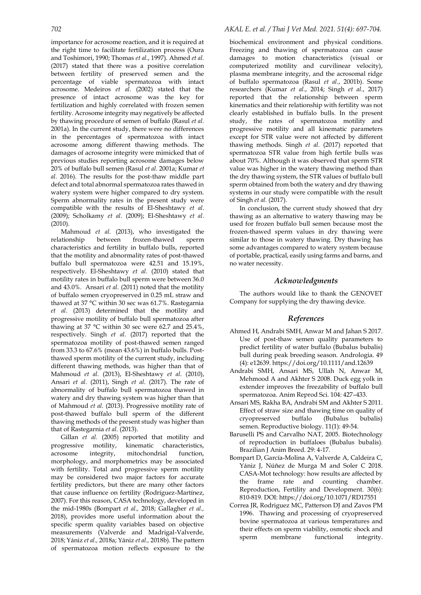importance for acrosome reaction, and it is required at the right time to facilitate fertilization process (Oura and Toshimori, 1990; Thomas *et al.*, 1997). Ahmed *et al.* (2017) stated that there was a positive correlation between fertility of preserved semen and the percentage of viable spermatozoa with intact acrosome. Medeiros *et al.* (2002) stated that the presence of intact acrosome was the key for fertilization and highly correlated with frozen semen fertility. Acrosome integrity may negatively be affected by thawing procedure of semen of buffalo (Rasul *et al.* 2001a). In the current study, there were no differences in the percentages of spermatozoa with intact acrosome among different thawing methods. The damages of acrosome integrity were mimicked that of previous studies reporting acrosome damages below 20% of buffalo bull semen (Rasul *et al.* 2001a; Kumar *et al.* 2016). The results for the post-thaw middle part defect and total abnormal spermatozoa rates thawed in watery system were higher compared to dry system. Sperm abnormality rates in the present study were compatible with the results of El-Sheshtawy *et al*. (2009); Scholkamy *et al*. (2009); El-Sheshtawy *et al*. (2010).

Mahmoud *et al.* (2013), who investigated the relationship between frozen-thawed sperm characteristics and fertility in buffalo bulls, reported that the motility and abnormality rates of post-thawed buffalo bull spermatozoa were 42.51 and 15.19%, respectively. El-Sheshtawy *et al.* (2010) stated that motility rates in buffalo bull sperm were between 36.0 and 43.0%. Ansari *et al.* (2011) noted that the motility of buffalo semen cryopreserved in 0.25 mL straw and thawed at 37 °C within 30 sec was 61.7%. Rastegarnia *et al.* (2013) determined that the motility and progressive motility of buffalo bull spermatozoa after thawing at 37 °C within 30 sec were 62.7 and 25.4%, respectively. Singh *et al.* (2017) reported that the spermatozoa motility of post-thawed semen ranged from 33.3 to 67.6% (mean 43.6%) in buffalo bulls. Postthawed sperm motility of the current study, including different thawing methods, was higher than that of Mahmoud *et al.* (2013), El-Sheshtawy *et al.* (2010), Ansari *et al.* (2011), Singh *et al.* (2017). The rate of abnormality of buffalo bull spermatozoa thawed in watery and dry thawing system was higher than that of Mahmoud *et al.* (2013). Progressive motility rate of post-thawed buffalo bull sperm of the different thawing methods of the present study was higher than that of Rastegarnia *et al.* (2013).

Gillan *et al.* (2005) reported that motility and progressive motility, kinematic characteristics, acrosome integrity, mitochondrial function, morphology, and morphometrics may be associated with fertility. Total and progressive sperm motility may be considered two major factors for accurate fertility predictors, but there are many other factors that cause influence on fertility (Rodríguez-Martínez, 2007). For this reason, CASA technology, developed in the mid-1980s (Bompart *et al.,* 2018; Gallagher *et al.,* 2018), provides more useful information about the specific sperm quality variables based on objective measurements (Valverde and Madrigal-Valverde, 2018; Yániz *et al.,* 2018a; Yániz *et al.,* 2018b). The pattern of spermatozoa motion reflects exposure to the

## *702 AKAL E. et al. / Thai J Vet Med. 2021. 51(4): 697-704.*

biochemical environment and physical conditions. Freezing and thawing of spermatozoa can cause damages to motion characteristics (visual or computerized motility and curvilinear velocity), plasma membrane integrity, and the acrosomal ridge of buffalo spermatozoa (Rasul *et al.*, 2001b). Some researchers (Kumar *et al.*, 2014; Singh *et al.*, 2017) reported that the relationship between sperm kinematics and their relationship with fertility was not clearly established in buffalo bulls. In the present study, the rates of spermatozoa motility and progressive motility and all kinematic parameters except for STR value were not affected by different thawing methods. Singh *et al.* (2017) reported that spermatozoa STR value from high fertile bulls was about 70%. Although it was observed that sperm STR value was higher in the watery thawing method than the dry thawing system, the STR values of buffalo bull sperm obtained from both the watery and dry thawing systems in our study were compatible with the result of Singh *et al.* (2017).

In conclusion, the current study showed that dry thawing as an alternative to watery thawing may be used for frozen buffalo bull semen because most the frozen-thawed sperm values in dry thawing were similar to those in watery thawing. Dry thawing has some advantages compared to watery system because of portable, practical, easily using farms and barns, and no water necessity.

## *Acknowledgments*

The authors would like to thank the GENOVET Company for supplying the dry thawing device.

## *References*

- Ahmed H, Andrabi SMH, Anwar M and Jahan S 2017. Use of post-thaw semen quality parameters to predict fertility of water buffalo (Bubalus bubalis) bull during peak breeding season. Andrologia. 49 (4): e12639. https://doi.org/10.1111/and.12639
- Andrabi SMH, Ansari MS, Ullah N, Anwar M, Mehmood A and Akhter S 2008. Duck egg yolk in extender improves the freezability of buffalo bull spermatozoa. Anim Reprod Sci. 104: 427–433.
- Ansari MS, Rakha BA, Andrabi SM and Akhter S 2011. Effect of straw size and thawing time on quality of cryopreserved buffalo (Bubalus bubalis) semen. Reproductive biology. 11(1): 49-54.
- Baruselli PS and Carvalho NAT, 2005. Biotechnology of reproduction in buffaloes (Bubalus bubalis). Brazilian J Anim Breed. 29: 4-17.
- Bompart D, García-Molina A, Valverde A, Caldeira C, Yániz J, Núñez de Murga M and Soler C 2018. CASA-Mot technology: how results are affected by the frame rate and counting chamber. Reproduction, Fertility and Development. 30(6): 810-819. DOI: https://doi.org/10.1071/RD17551
- Correa JR, Rodriguez MC, Patterson DJ and Zavos PM 1996. Thawing and processing of cryopreserved bovine spermatozoa at various temperatures and their effects on sperm viability, osmotic shock and sperm membrane functional integrity.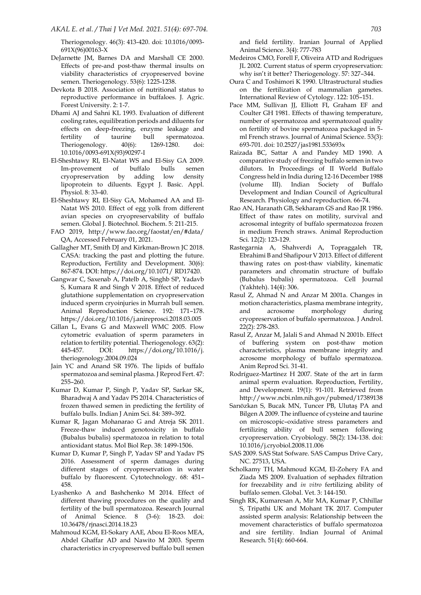Theriogenology. 46(3): 413-420. doi: 10.1016/0093- 691X(96)00163-X

- DeJarnette JM, Barnes DA and Marshall CE 2000. Effects of pre-and post-thaw thermal insults on viability characteristics of cryopreserved bovine semen. Theriogenology. 53(6): 1225-1238.
- Devkota B 2018. Association of nutritional status to reproductive performance in buffaloes. J. Agric. Forest University. 2: 1-7.
- Dhami AJ and Sahni KL 1993. Evaluation of different cooling rates, equilibration periods and diluents for effects on deep-freezing, enzyme leakage and fertility of taurine bull spermatozoa. Theriogenology. 40(6): 1269-1280. doi: 10.1016/0093-691X(93)90297-I
- El-Sheshtawy RI, El-Natat WS and El-Sisy GA 2009. Im-provement of buffalo bulls semen cryopreservation by adding low density lipoprotein to diluents. Egypt J. Basic. Appl. Physiol. 8: 33-40.
- El-Sheshtawy RI, El-Sisy GA, Mohamed AA and El-Natat WS 2010. Effect of egg yolk from different avian species on cryopreservability of buffalo semen. Global J. Biotechnol. Biochem. 5: 211-215.
- FAO 2019, http://www.fao.org/faostat/en/#data/ QA, Accessed February 01, 2021.
- Gallagher MT, Smith DJ and Kirkman-Brown JC 2018. CASA: tracking the past and plotting the future. Reproduction, Fertility and Development. 30(6): 867-874. DOI: https://doi.org/10.1071/ RD17420.
- Gangwar C, Saxenab A, Patelb A, Singhb SP, Yadavb S, Kumara R and Singh V 2018. Effect of reduced glutathione supplementation on cryopreservation induced sperm cryoinjuries in Murrah bull semen. Animal Reproduction Science. 192: 171–178. https://doi.org/10.1016/j.anireprosci.2018.03.005
- Gillan L, Evans G and Maxwell WMC 2005. Flow cytometric evaluation of sperm parameters in relation to fertility potential. Theriogenology. 63(2): 445-457. DOI: https://doi.org/10.1016/j. theriogenology.2004.09.024
- Jain YC and Anand SR 1976. The lipids of buffalo spermatozoa and seminal plasma. J Reprod Fert. 47: 255–260.
- Kumar D, Kumar P, Singh P, Yadav SP, Sarkar SK, Bharadwaj A and Yadav PS 2014. Characteristics of frozen thawed semen in predicting the fertility of buffalo bulls. Indian J Anim Sci. 84: 389–392.
- Kumar R, Jagan Mohanarao G and Atreja SK 2011. Freeze-thaw induced genotoxicity in buffalo (Bubalus bubalis) spermatozoa in relation to total antioxidant status. Mol Biol Rep. 38: 1499-1506.
- Kumar D, Kumar P, Singh P, Yadav SP and Yadav PS 2016. Assessment of sperm damages during different stages of cryopreservation in water buffalo by fluorescent. Cytotechnology. 68: 451– 458.
- Lyashenko A and Bashchenko M 2014. Effect of different thawing procedures on the quality and fertility of the bull spermatozoa. Research Journal of Animal Science. 8 (3-6): 18-23. doi: 10.36478/rjnasci.2014.18.23
- Mahmoud KGM, El‐Sokary AAE, Abou El‐Roos MEA, Abdel Ghaffar AD and Nawito M 2003. Sperm characteristics in cryopreserved buffalo bull semen

and field fertility. Iranian Journal of Applied Animal Science. 3(4): 777-783

- Medeiros CMO, Forell F, Oliveira ATD and Rodrigues JL 2002. Current status of sperm cryopreservation: why isn't it better? Theriogenology. 57: 327–344.
- Oura C and Toshimori K 1990. Ultrastructural studies on the fertilization of mammalian gametes. International Review of Cytology. 122: 105–151.
- Pace MM, Sullivan JJ, Elliott FI, Graham EF and Coulter GH 1981. Effects of thawing temperature, number of spermatozoa and spermatozoal quality on fertility of bovine spermatozoa packaged in 5 ml French straws. Journal of Animal Science. 53(3): 693-701. doi: 10.2527/jas1981.533693x
- Raizada BC, Sattar A and Pandey MD 1990. A comparative study of freezing buffalo semen in two dilutors. In Proceedings of II World Buffalo Congress held in India during 12-16 December 1988 (volume III). Indian Society of Buffalo Development and Indian Council of Agricultural Research. Physiology and reproduction. 66-74.
- Rao AN, Haranath GB, Sekharam GS and Rao JR 1986. Effect of thaw rates on motility, survival and acrosomal integrity of buffalo spermatozoa frozen in medium French straws. Animal Reproduction Sci. 12(2): 123-129.
- Rastegarnia A, Shahverdi A, Topraggaleh TR, Ebrahimi B and Shafipour V 2013. Effect of different thawing rates on post-thaw viability, kinematic parameters and chromatin structure of buffalo (Bubalus bubalis) spermatozoa. Cell Journal (Yakhteh). 14(4): 306.
- Rasul Z, Ahmad N and Anzar M 2001a. Changes in motion characteristics, plasma membrane integrity, and acrosome morphology during cryopreservation of buffalo spermatozoa. J Androl. 22(2): 278-283.
- Rasul Z, Anzar M, Jalali S and Ahmad N 2001b. Effect of buffering system on post-thaw motion characteristics, plasma membrane integrity and acrosome morphology of buffalo spermatozoa. Anim Reprod Sci. 31-41.
- Rodríguez-Martínez H 2007. State of the art in farm animal sperm evaluation. Reproduction, Fertility, and Development. 19(1): 91-101. Retrieved from http://www.ncbi.nlm.nih.gov/pubmed/17389138
- Sarıözkan S, Bucak MN, Tuncer PB, Ulutaş PA and Bilgen A 2009. The influence of cysteine and taurine on microscopic–oxidative stress parameters and fertilizing ability of bull semen following cryopreservation. Cryobiology. 58(2): 134-138. doi: 10.1016/j.cryobiol.2008.11.006
- SAS 2009. SAS Stat Sofware. SAS Campus Drive Cary, NC. 27513, USA.
- Scholkamy TH, Mahmoud KGM, El-Zohery FA and Ziada MS 2009. Evaluation of sephadex filtration for freezability and *in vitro* fertilizing ability of buffalo semen. Global. Vet. 3: 144-150.
- Singh RK, Kumaresan A, Mir MA, Kumar P, Chhillar S, Tripathi UK and Mohant TK 2017. Computer assisted sperm analysis: Relationship between the movement characteristics of buffalo spermatozoa and sire fertility. Indian Journal of Animal Research. 51(4): 660-664.